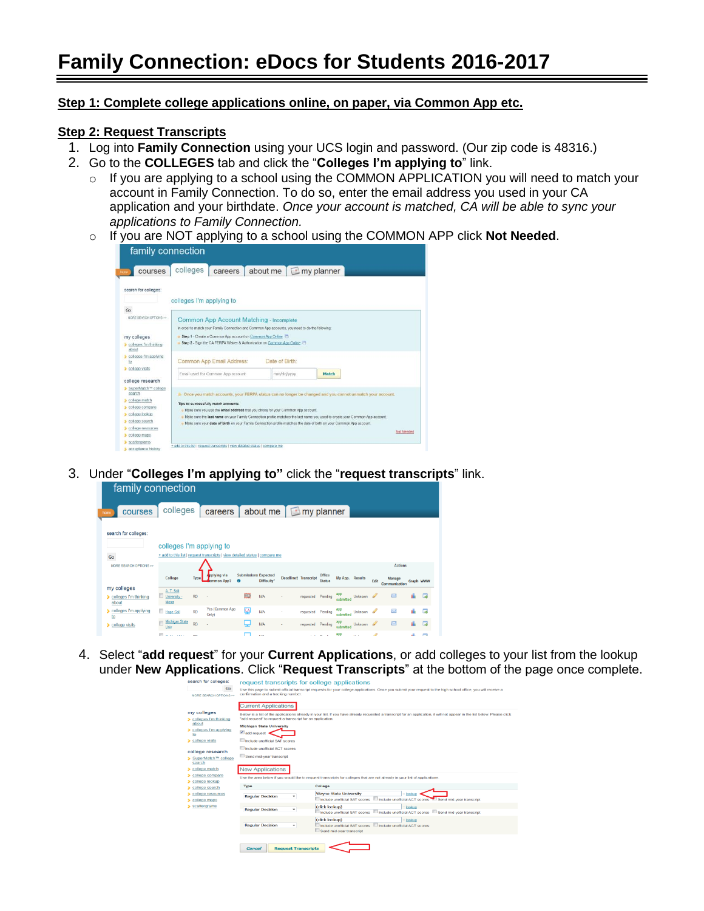# **Family Connection: eDocs for Students 2016-2017**

## **Step 1: Complete college applications online, on paper, via Common App etc.**

## **Step 2: Request Transcripts**

- 1. Log into **Family Connection** using your UCS login and password. (Our zip code is 48316.)
- 2. Go to the **COLLEGES** tab and click the "**Colleges I'm applying to**" link.
	- $\circ$  If you are applying to a school using the COMMON APPLICATION you will need to match your account in Family Connection. To do so, enter the email address you used in your CA application and your birthdate. *Once your account is matched, CA will be able to sync your applications to Family Connection.*
	- o If you are NOT applying to a school using the COMMON APP click **Not Needed**.

| courses                            | colleges                                                                                                                            | careers | about me $\Box$ my planner                                                                      |                                                                                                                               |            |  |  |  |
|------------------------------------|-------------------------------------------------------------------------------------------------------------------------------------|---------|-------------------------------------------------------------------------------------------------|-------------------------------------------------------------------------------------------------------------------------------|------------|--|--|--|
| search for colleges:               | colleges I'm applying to                                                                                                            |         |                                                                                                 |                                                                                                                               |            |  |  |  |
| Go                                 |                                                                                                                                     |         |                                                                                                 |                                                                                                                               |            |  |  |  |
| MORE SEARCH OPTIONS >>             |                                                                                                                                     |         |                                                                                                 |                                                                                                                               |            |  |  |  |
|                                    |                                                                                                                                     |         | <b>Common App Account Matching - Incomplete</b>                                                 |                                                                                                                               |            |  |  |  |
|                                    |                                                                                                                                     |         | In order to match your Family Connection and Common App accounts, you need to do the following: |                                                                                                                               |            |  |  |  |
| my colleges                        | Step 1 - Create a Common App account on Common App Online<br>Step 2 - Sign the CA FERPA Waiver & Authorization on Common App Online |         |                                                                                                 |                                                                                                                               |            |  |  |  |
| colleges I'm thinking<br>about     |                                                                                                                                     |         |                                                                                                 |                                                                                                                               |            |  |  |  |
| colleges I'm applying<br>to        | Common App Email Address:                                                                                                           |         | Date of Birth:                                                                                  |                                                                                                                               |            |  |  |  |
| college visits                     | Email used for Common App account                                                                                                   |         | mm/dd/yyyy                                                                                      | Match                                                                                                                         |            |  |  |  |
| college research                   |                                                                                                                                     |         |                                                                                                 |                                                                                                                               |            |  |  |  |
| > SuperMatch <sup>TM</sup> college |                                                                                                                                     |         |                                                                                                 |                                                                                                                               |            |  |  |  |
| search                             |                                                                                                                                     |         |                                                                                                 | 4. Once you match accounts, your FERPA status can no longer be changed and you cannot unmatch your account.                   |            |  |  |  |
| college match                      | Tips to successfully match accounts:                                                                                                |         |                                                                                                 |                                                                                                                               |            |  |  |  |
| college compare                    |                                                                                                                                     |         | . Make sure you use the omail address that you chose for your Common App account.               |                                                                                                                               |            |  |  |  |
| college lookup                     |                                                                                                                                     |         |                                                                                                 | . Make sure the last name on your Family Connection profile matches the last name you used to create your Common App account. |            |  |  |  |
| colloge search                     |                                                                                                                                     |         |                                                                                                 | . Make sure your date of birth on your Family Connection profile matches the date of birth on your Common App account.        |            |  |  |  |
| college resources                  |                                                                                                                                     |         |                                                                                                 |                                                                                                                               |            |  |  |  |
| college maps                       |                                                                                                                                     |         |                                                                                                 |                                                                                                                               | Not Needed |  |  |  |
| scattergrams                       | + add to this list   request transcripts   view detailed status   compare me                                                        |         |                                                                                                 |                                                                                                                               |            |  |  |  |
|                                    |                                                                                                                                     |         |                                                                                                 |                                                                                                                               |            |  |  |  |

3. Under "**Colleges I'm applying to"** click the "**request transcripts**" link.

| <b>TAMILY CONNECTION</b>                |                          |           |                                                                              |                             |                   |                             |                         |                  |           |      |                                           |           |           |
|-----------------------------------------|--------------------------|-----------|------------------------------------------------------------------------------|-----------------------------|-------------------|-----------------------------|-------------------------|------------------|-----------|------|-------------------------------------------|-----------|-----------|
| courses<br>home                         | colleges                 |           | careers about me $\boxed{\blacksquare}$ my planner                           |                             |                   |                             |                         |                  |           |      |                                           |           |           |
| search for colleges:<br>Go              | colleges I'm applying to |           | + add to this list   request transcripts   view detailed status   compare me |                             |                   |                             |                         |                  |           |      |                                           |           |           |
| MORE SEARCH OPTIONS >>                  | College                  | Type      | pplying via<br><b>SagA</b> nommo                                             | <b>Submissions Expected</b> | <b>Difficulty</b> | <b>Deadlinet Transcript</b> | Office<br><b>Status</b> | My App. Results  |           | Edit | <b>Actions</b><br>Manage<br>Communication | Graph WWW |           |
| my colleges<br>colleges I'm thinking    | A. T. Still              |           |                                                                              |                             |                   |                             |                         |                  |           |      |                                           |           |           |
| about                                   | University -<br>Mesa     | <b>RD</b> |                                                                              | 隐                           | N/A               | requested Pending           |                         | submitted        | Unknown & |      | $\boxtimes$                               |           | <b>Ta</b> |
| colleges I'm applying                   | Hope Coll                | <b>RD</b> | Yes (Common App<br>Only)                                                     | <b>CA</b>                   | <b>N/A</b>        | requested                   | Pending                 | app<br>submitted | Unknown & |      | $\overline{\mathbf{M}}$                   |           | <b>G</b>  |
| $to$<br>$\triangleright$ college visits | Michigan State<br>Univ   | <b>RD</b> |                                                                              |                             | <b>N/A</b>        | requested Pending           |                         | app<br>submitted | Unknown & |      | 网                                         |           | 医         |

4. Select "**add request**" for your **Current Applications**, or add colleges to your list from the lookup under **New Applications**. Click "**Request Transcripts**" at the bottom of the page once complete.

| search for colleges:                  |                                                           |                            | request transcripts for college applications                                                                                                                                |
|---------------------------------------|-----------------------------------------------------------|----------------------------|-----------------------------------------------------------------------------------------------------------------------------------------------------------------------------|
| Go                                    |                                                           |                            | Use this page to submit official transcript requests for your college applications. Once you submit your request to the high school office, you will receive a              |
| MORE SEARCH OPTIONS >>                | confirmation and a tracking number.                       |                            |                                                                                                                                                                             |
|                                       | <b>Current Applications</b>                               |                            |                                                                                                                                                                             |
| my colleges                           |                                                           |                            | Below is a list of the applications already in your list. If you have already requested a transcript for an application, it will not appear in the list below. Please click |
| colleges I'm thinking<br>about        | "add request" to request a transcript for an application. |                            |                                                                                                                                                                             |
| colleges I'm applying                 | <b>Michigan State University</b>                          |                            |                                                                                                                                                                             |
| to                                    | $\vee$ add request                                        |                            |                                                                                                                                                                             |
| college visits                        | Include unofficial SAT scores                             |                            |                                                                                                                                                                             |
| college research                      | Include unofficial ACT scores                             |                            |                                                                                                                                                                             |
| SuperMatch™ college<br>search         | Send mid-year transcript                                  |                            |                                                                                                                                                                             |
| college match                         | <b>New Applications</b>                                   |                            |                                                                                                                                                                             |
| $\blacktriangleright$ college compare |                                                           |                            | Use the area below if you would like to request transcripts for colleges that are not already in your list of applications.                                                 |
| > college lookup                      |                                                           |                            |                                                                                                                                                                             |
| college search                        | Type                                                      |                            | College                                                                                                                                                                     |
| college resources                     | <b>Regular Decision</b>                                   | ٠                          | Wayne State University<br>lookup                                                                                                                                            |
| college maps                          |                                                           |                            | Include unofficial SAT scores<br>Include unofficial ACT scores <b>CO</b> Send mid-year transcript                                                                           |
| scattergrams                          |                                                           |                            | (click lookup)<br>lookup                                                                                                                                                    |
|                                       | <b>Regular Decision</b>                                   |                            | Include unofficial ACT scores Send mid-year transcript<br>Include unofficial SAT scores                                                                                     |
|                                       |                                                           |                            | (click lookup)<br>lookup                                                                                                                                                    |
|                                       | <b>Regular Decision</b>                                   | ٠                          | Include unofficial ACT scores<br>Include unofficial SAT scores                                                                                                              |
|                                       |                                                           |                            | Send mid-year transcript                                                                                                                                                    |
|                                       |                                                           |                            |                                                                                                                                                                             |
|                                       |                                                           |                            |                                                                                                                                                                             |
|                                       | Cancel                                                    | <b>Request Transcripts</b> |                                                                                                                                                                             |